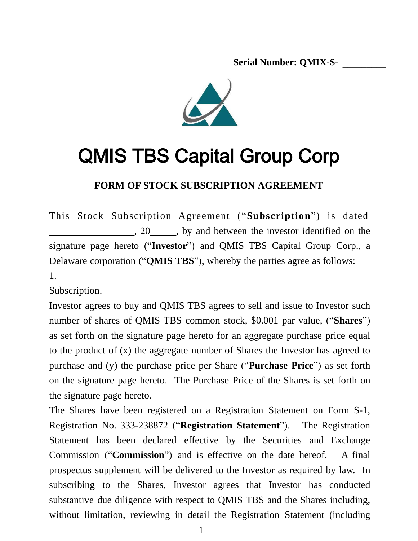\_\_ **Serial Number: QMIX-S-** \_\_\_\_\_\_\_\_\_



# QMIS TBS Capital Group Corp

**FORM OF STOCK SUBSCRIPTION AGREEMENT**

This Stock Subscription Agreement ("**Subscription**") is dated , 20 study by and between the investor identified on the signature page hereto ("**Investor**") and QMIS TBS Capital Group Corp., a Delaware corporation ("**QMIS TBS**"), whereby the parties agree as follows: 1.

Subscription.

Investor agrees to buy and QMIS TBS agrees to sell and issue to Investor such number of shares of QMIS TBS common stock, \$0.001 par value, ("**Shares**") as set forth on the signature page hereto for an aggregate purchase price equal to the product of (x) the aggregate number of Shares the Investor has agreed to purchase and (y) the purchase price per Share ("**Purchase Price**") as set forth on the signature page hereto. The Purchase Price of the Shares is set forth on the signature page hereto.

The Shares have been registered on a Registration Statement on Form S-1, Registration No. 333-238872 ("**Registration Statement**"). The Registration Statement has been declared effective by the Securities and Exchange Commission ("**Commission**") and is effective on the date hereof. A final prospectus supplement will be delivered to the Investor as required by law. In subscribing to the Shares, Investor agrees that Investor has conducted substantive due diligence with respect to QMIS TBS and the Shares including, without limitation, reviewing in detail the Registration Statement (including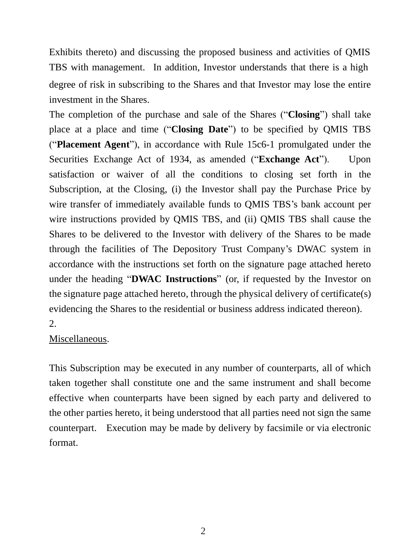Exhibits thereto) and discussing the proposed business and activities of QMIS TBS with management. In addition, Investor understands that there is a high degree of risk in subscribing to the Shares and that Investor may lose the entire investment in the Shares.

The completion of the purchase and sale of the Shares ("**Closing**") shall take place at a place and time ("**Closing Date**") to be specified by QMIS TBS ("**Placement Agent**"), in accordance with Rule 15c6-1 promulgated under the Securities Exchange Act of 1934, as amended ("**Exchange Act**"). Upon satisfaction or waiver of all the conditions to closing set forth in the Subscription, at the Closing, (i) the Investor shall pay the Purchase Price by wire transfer of immediately available funds to QMIS TBS's bank account per wire instructions provided by QMIS TBS, and (ii) QMIS TBS shall cause the Shares to be delivered to the Investor with delivery of the Shares to be made through the facilities of The Depository Trust Company's DWAC system in accordance with the instructions set forth on the signature page attached hereto under the heading "**DWAC Instructions**" (or, if requested by the Investor on the signature page attached hereto, through the physical delivery of certificate(s) evidencing the Shares to the residential or business address indicated thereon). 2.

#### Miscellaneous.

This Subscription may be executed in any number of counterparts, all of which taken together shall constitute one and the same instrument and shall become effective when counterparts have been signed by each party and delivered to the other parties hereto, it being understood that all parties need not sign the same counterpart. Execution may be made by delivery by facsimile or via electronic format.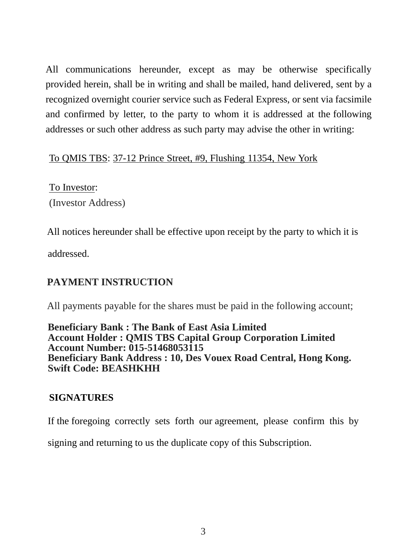All communications hereunder, except as may be otherwise specifically provided herein, shall be in writing and shall be mailed, hand delivered, sent by a recognized overnight courier service such as Federal Express, or sent via facsimile and confirmed by letter, to the party to whom it is addressed at the following addresses or such other address as such party may advise the other in writing:

### To QMIS TBS: 37-12 Prince Street, #9, Flushing 11354, New York

To Investor: (Investor Address)

All notices hereunder shall be effective upon receipt by the party to which it is addressed.

# **PAYMENT INSTRUCTION**

All payments payable for the shares must be paid in the following account;

**Beneficiary Bank : The Bank of East Asia Limited Account Holder : QMIS TBS Capital Group Corporation Limited Account Number: 015-51468053115 Swift Code: BEASHKHH Beneficiary Bank Address : 10, Des Vouex Road Central, Hong Kong.**

## **SIGNATURES**

If the foregoing correctly sets forth our agreement, please confirm this by

signing and returning to us the duplicate copy of this Subscription.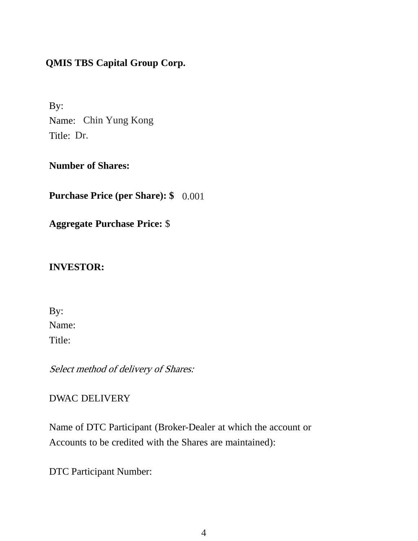# **QMIS TBS Capital Group Corp.**

By: Name: Chin Yung Kong Title: Dr.

**Number of Shares:**

**Purchase Price (per Share): \$** 0.001

**Aggregate Purchase Price:** \$

### **INVESTOR:**

Name: By:

Title:

Select method of delivery of Shares:

## DWAC DELIVERY

Name of DTC Participant (Broker-Dealer at which the account or Accounts to be credited with the Shares are maintained):

DTC Participant Number: